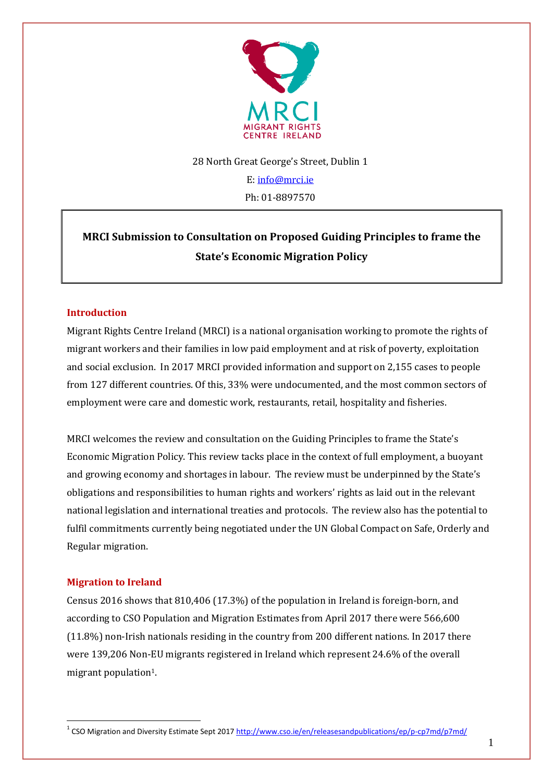

#### 28 North Great George's Street, Dublin 1

E[: info@mrci.ie](mailto:info@mrci.ie) Ph: 01-8897570

# **MRCI Submission to Consultation on Proposed Guiding Principles to frame the State's Economic Migration Policy**

# **Introduction**

Migrant Rights Centre Ireland (MRCI) is a national organisation working to promote the rights of migrant workers and their families in low paid employment and at risk of poverty, exploitation and social exclusion. In 2017 MRCI provided information and support on 2,155 cases to people from 127 different countries. Of this, 33% were undocumented, and the most common sectors of employment were care and domestic work, restaurants, retail, hospitality and fisheries.

MRCI welcomes the review and consultation on the Guiding Principles to frame the State's Economic Migration Policy. This review tacks place in the context of full employment, a buoyant and growing economy and shortages in labour. The review must be underpinned by the State's obligations and responsibilities to human rights and workers' rights as laid out in the relevant national legislation and international treaties and protocols. The review also has the potential to fulfil commitments currently being negotiated under the UN Global Compact on Safe, Orderly and Regular migration.

# **Migration to Ireland**

Census 2016 shows that 810,406 (17.3%) of the population in Ireland is foreign-born, and according to CSO Population and Migration Estimates from April 2017 there were 566,600 (11.8%) non-Irish nationals residing in the country from 200 different nations. In 2017 there were 139,206 Non-EU migrants registered in Ireland which represent 24.6% of the overall migrant population<sup>1</sup>.

<sup>1</sup> <sup>1</sup> CSO Migration and Diversity Estimate Sept 201[7 http://www.cso.ie/en/releasesandpublications/ep/p-cp7md/p7md/](http://www.cso.ie/en/releasesandpublications/ep/p-cp7md/p7md/)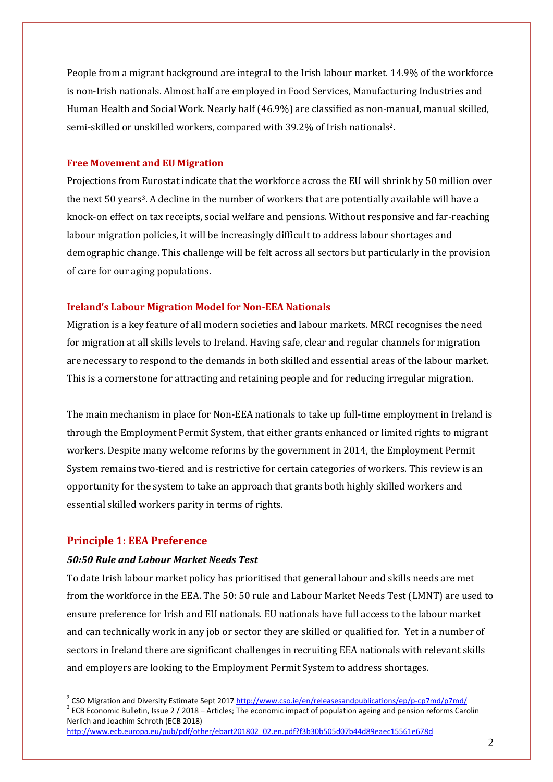People from a migrant background are integral to the Irish labour market. 14.9% of the workforce is non-Irish nationals. Almost half are employed in Food Services, Manufacturing Industries and Human Health and Social Work. Nearly half (46.9%) are classified as non-manual, manual skilled, semi-skilled or unskilled workers, compared with 39.2% of Irish nationals2.

#### **Free Movement and EU Migration**

Projections from Eurostat indicate that the workforce across the EU will shrink by 50 million over the next 50 years3. A decline in the number of workers that are potentially available will have a knock-on effect on tax receipts, social welfare and pensions. Without responsive and far-reaching labour migration policies, it will be increasingly difficult to address labour shortages and demographic change. This challenge will be felt across all sectors but particularly in the provision of care for our aging populations.

#### **Ireland's Labour Migration Model for Non-EEA Nationals**

Migration is a key feature of all modern societies and labour markets. MRCI recognises the need for migration at all skills levels to Ireland. Having safe, clear and regular channels for migration are necessary to respond to the demands in both skilled and essential areas of the labour market. This is a cornerstone for attracting and retaining people and for reducing irregular migration.

The main mechanism in place for Non-EEA nationals to take up full-time employment in Ireland is through the Employment Permit System, that either grants enhanced or limited rights to migrant workers. Despite many welcome reforms by the government in 2014, the Employment Permit System remains two-tiered and is restrictive for certain categories of workers. This review is an opportunity for the system to take an approach that grants both highly skilled workers and essential skilled workers parity in terms of rights.

#### **Principle 1: EEA Preference**

<u>.</u>

#### *50:50 Rule and Labour Market Needs Test*

To date Irish labour market policy has prioritised that general labour and skills needs are met from the workforce in the EEA. The 50: 50 rule and Labour Market Needs Test (LMNT) are used to ensure preference for Irish and EU nationals. EU nationals have full access to the labour market and can technically work in any job or sector they are skilled or qualified for. Yet in a number of sectors in Ireland there are significant challenges in recruiting EEA nationals with relevant skills and employers are looking to the Employment Permit System to address shortages.

 $3$  ECB Economic Bulletin, Issue 2 / 2018 – Articles; The economic impact of population ageing and pension reforms Carolin Nerlich and Joachim Schroth (ECB 2018)

[http://www.ecb.europa.eu/pub/pdf/other/ebart201802\\_02.en.pdf?f3b30b505d07b44d89eaec15561e678d](http://www.ecb.europa.eu/pub/pdf/other/ebart201802_02.en.pdf?f3b30b505d07b44d89eaec15561e678d)

<sup>&</sup>lt;sup>2</sup> CSO Migration and Diversity Estimate Sept 201[7 http://www.cso.ie/en/releasesandpublications/ep/p-cp7md/p7md/](http://www.cso.ie/en/releasesandpublications/ep/p-cp7md/p7md/)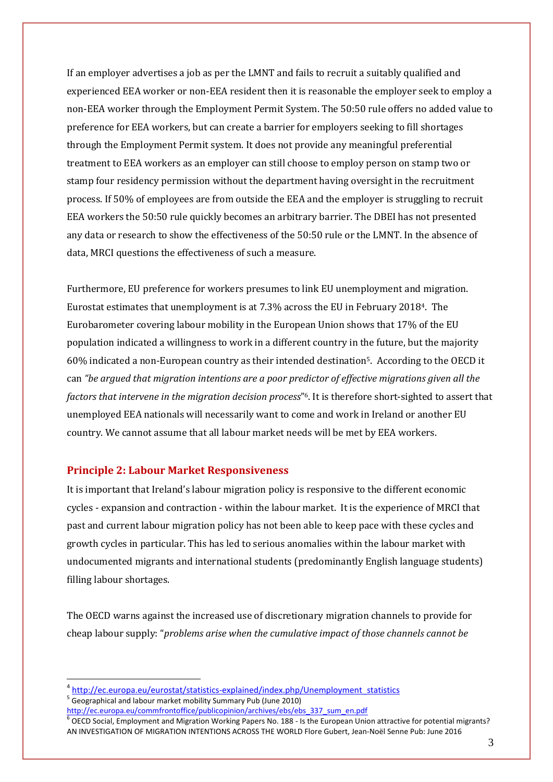If an employer advertises a job as per the LMNT and fails to recruit a suitably qualified and experienced EEA worker or non-EEA resident then it is reasonable the employer seek to employ a non-EEA worker through the Employment Permit System. The 50:50 rule offers no added value to preference for EEA workers, but can create a barrier for employers seeking to fill shortages through the Employment Permit system. It does not provide any meaningful preferential treatment to EEA workers as an employer can still choose to employ person on stamp two or stamp four residency permission without the department having oversight in the recruitment process. If 50% of employees are from outside the EEA and the employer is struggling to recruit EEA workers the 50:50 rule quickly becomes an arbitrary barrier. The DBEI has not presented any data or research to show the effectiveness of the 50:50 rule or the LMNT. In the absence of data, MRCI questions the effectiveness of such a measure.

Furthermore, EU preference for workers presumes to link EU unemployment and migration. Eurostat estimates that unemployment is at 7.3% across the EU in February 20184. The Eurobarometer covering labour mobility in the European Union shows that 17% of the EU population indicated a willingness to work in a different country in the future, but the majority 60% indicated a non-European country as their intended destination5. According to the OECD it can *"be argued that migration intentions are a poor predictor of effective migrations given all the factors that intervene in the migration decision process*" <sup>6</sup>. It is therefore short-sighted to assert that unemployed EEA nationals will necessarily want to come and work in Ireland or another EU country. We cannot assume that all labour market needs will be met by EEA workers.

# **Principle 2: Labour Market Responsiveness**

1

It is important that Ireland's labour migration policy is responsive to the different economic cycles - expansion and contraction - within the labour market. It is the experience of MRCI that past and current labour migration policy has not been able to keep pace with these cycles and growth cycles in particular. This has led to serious anomalies within the labour market with undocumented migrants and international students (predominantly English language students) filling labour shortages.

The OECD warns against the increased use of discretionary migration channels to provide for cheap labour supply: "*problems arise when the cumulative impact of those channels cannot be* 

<sup>4</sup> [http://ec.europa.eu/eurostat/statistics-explained/index.php/Unemployment\\_statistics](http://ec.europa.eu/eurostat/statistics-explained/index.php/Unemployment_statistics) <sup>5</sup> Geographical and labour market mobility Summary Pub (June 2010)

[http://ec.europa.eu/commfrontoffice/publicopinion/archives/ebs/ebs\\_337\\_sum\\_en.pdf](http://ec.europa.eu/commfrontoffice/publicopinion/archives/ebs/ebs_337_sum_en.pdf)

<sup>&</sup>lt;sup>6</sup> OECD Social, Employment and Migration Working Papers No. 188 - Is the European Union attractive for potential migrants? AN INVESTIGATION OF MIGRATION INTENTIONS ACROSS THE WORLD Flore Gubert, Jean-Noël Senne Pub: June 2016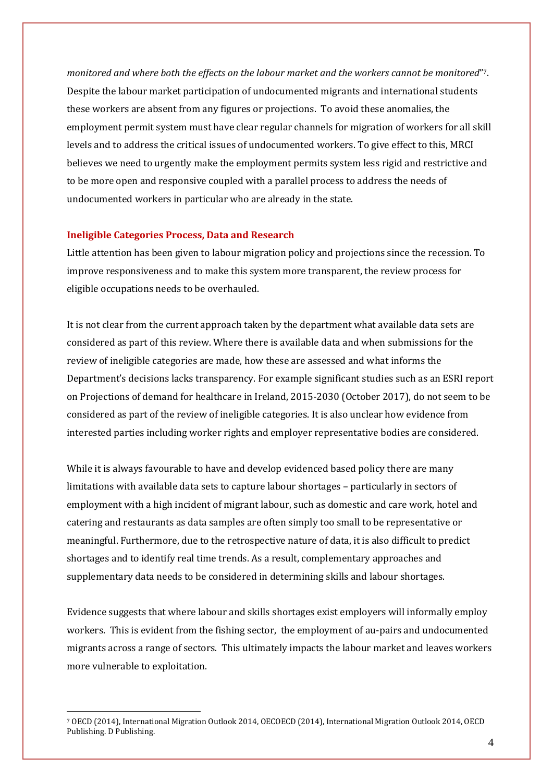*monitored and where both the effects on the labour market and the workers cannot be monitored*" 7. Despite the labour market participation of undocumented migrants and international students these workers are absent from any figures or projections. To avoid these anomalies, the employment permit system must have clear regular channels for migration of workers for all skill levels and to address the critical issues of undocumented workers. To give effect to this, MRCI believes we need to urgently make the employment permits system less rigid and restrictive and to be more open and responsive coupled with a parallel process to address the needs of undocumented workers in particular who are already in the state.

#### **Ineligible Categories Process, Data and Research**

1

Little attention has been given to labour migration policy and projections since the recession. To improve responsiveness and to make this system more transparent, the review process for eligible occupations needs to be overhauled.

It is not clear from the current approach taken by the department what available data sets are considered as part of this review. Where there is available data and when submissions for the review of ineligible categories are made, how these are assessed and what informs the Department's decisions lacks transparency. For example significant studies such as an ESRI report on Projections of demand for healthcare in Ireland, 2015-2030 (October 2017), do not seem to be considered as part of the review of ineligible categories. It is also unclear how evidence from interested parties including worker rights and employer representative bodies are considered.

While it is always favourable to have and develop evidenced based policy there are many limitations with available data sets to capture labour shortages – particularly in sectors of employment with a high incident of migrant labour, such as domestic and care work, hotel and catering and restaurants as data samples are often simply too small to be representative or meaningful. Furthermore, due to the retrospective nature of data, it is also difficult to predict shortages and to identify real time trends. As a result, complementary approaches and supplementary data needs to be considered in determining skills and labour shortages.

Evidence suggests that where labour and skills shortages exist employers will informally employ workers. This is evident from the fishing sector, the employment of au-pairs and undocumented migrants across a range of sectors. This ultimately impacts the labour market and leaves workers more vulnerable to exploitation.

<sup>7</sup> OECD (2014), International Migration Outlook 2014, OECOECD (2014), International Migration Outlook 2014, OECD Publishing. D Publishing.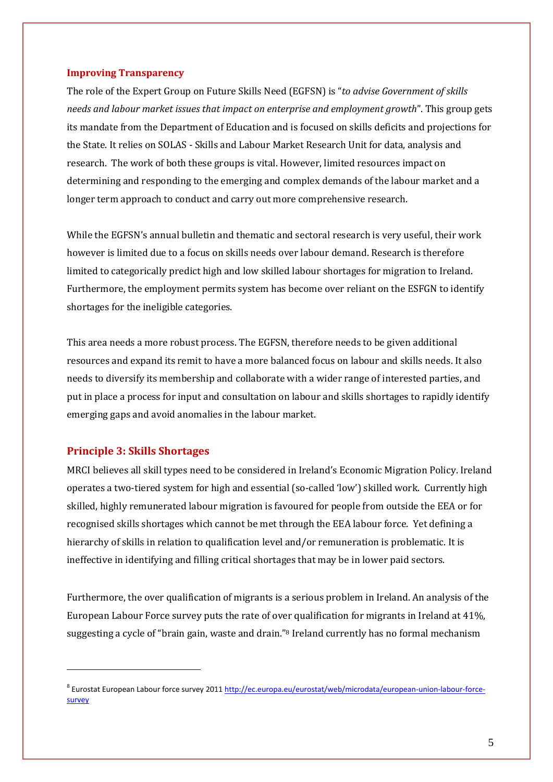#### **Improving Transparency**

The role of the Expert Group on Future Skills Need (EGFSN) is "*to advise Government of skills needs and labour market issues that impact on enterprise and employment growth*". This group gets its mandate from the Department of Education and is focused on skills deficits and projections for the State. It relies on SOLAS - Skills and Labour Market Research Unit for data, analysis and research. The work of both these groups is vital. However, limited resources impact on determining and responding to the emerging and complex demands of the labour market and a longer term approach to conduct and carry out more comprehensive research.

While the EGFSN's annual bulletin and thematic and sectoral research is very useful, their work however is limited due to a focus on skills needs over labour demand. Research is therefore limited to categorically predict high and low skilled labour shortages for migration to Ireland. Furthermore, the employment permits system has become over reliant on the ESFGN to identify shortages for the ineligible categories.

This area needs a more robust process. The EGFSN, therefore needs to be given additional resources and expand its remit to have a more balanced focus on labour and skills needs. It also needs to diversify its membership and collaborate with a wider range of interested parties, and put in place a process for input and consultation on labour and skills shortages to rapidly identify emerging gaps and avoid anomalies in the labour market.

#### **Principle 3: Skills Shortages**

<u>.</u>

MRCI believes all skill types need to be considered in Ireland's Economic Migration Policy. Ireland operates a two-tiered system for high and essential (so-called 'low') skilled work. Currently high skilled, highly remunerated labour migration is favoured for people from outside the EEA or for recognised skills shortages which cannot be met through the EEA labour force. Yet defining a hierarchy of skills in relation to qualification level and/or remuneration is problematic. It is ineffective in identifying and filling critical shortages that may be in lower paid sectors.

Furthermore, the over qualification of migrants is a serious problem in Ireland. An analysis of the European Labour Force survey puts the rate of over qualification for migrants in Ireland at 41%, suggesting a cycle of "brain gain, waste and drain."<sup>8</sup> Ireland currently has no formal mechanism

<sup>&</sup>lt;sup>8</sup> Eurostat European Labour force survey 2011 [http://ec.europa.eu/eurostat/web/microdata/european-union-labour-force](http://ec.europa.eu/eurostat/web/microdata/european-union-labour-force-survey)[survey](http://ec.europa.eu/eurostat/web/microdata/european-union-labour-force-survey)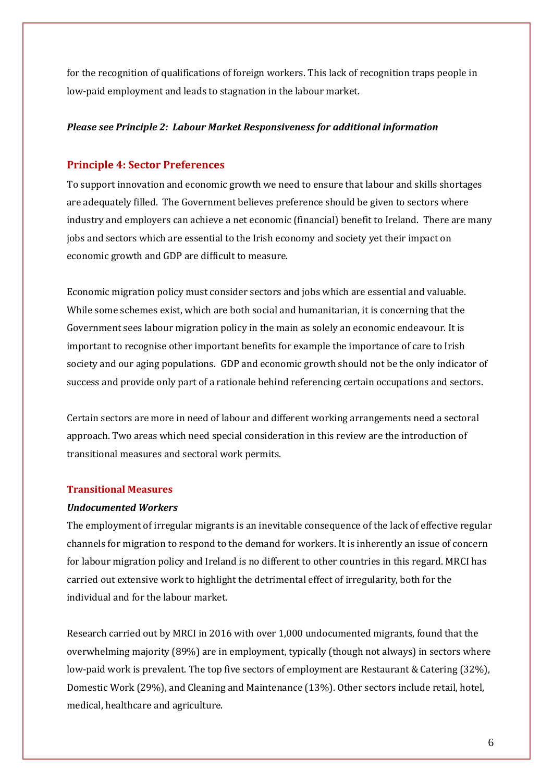for the recognition of qualifications of foreign workers. This lack of recognition traps people in low-paid employment and leads to stagnation in the labour market.

#### *Please see Principle 2: Labour Market Responsiveness for additional information*

# **Principle 4: Sector Preferences**

To support innovation and economic growth we need to ensure that labour and skills shortages are adequately filled. The Government believes preference should be given to sectors where industry and employers can achieve a net economic (financial) benefit to Ireland. There are many jobs and sectors which are essential to the Irish economy and society yet their impact on economic growth and GDP are difficult to measure.

Economic migration policy must consider sectors and jobs which are essential and valuable. While some schemes exist, which are both social and humanitarian, it is concerning that the Government sees labour migration policy in the main as solely an economic endeavour. It is important to recognise other important benefits for example the importance of care to Irish society and our aging populations. GDP and economic growth should not be the only indicator of success and provide only part of a rationale behind referencing certain occupations and sectors.

Certain sectors are more in need of labour and different working arrangements need a sectoral approach. Two areas which need special consideration in this review are the introduction of transitional measures and sectoral work permits.

# **Transitional Measures**

#### *Undocumented Workers*

The employment of irregular migrants is an inevitable consequence of the lack of effective regular channels for migration to respond to the demand for workers. It is inherently an issue of concern for labour migration policy and Ireland is no different to other countries in this regard. MRCI has carried out extensive work to highlight the detrimental effect of irregularity, both for the individual and for the labour market.

Research carried out by MRCI in 2016 with over 1,000 undocumented migrants, found that the overwhelming majority (89%) are in employment, typically (though not always) in sectors where low-paid work is prevalent. The top five sectors of employment are Restaurant & Catering (32%), Domestic Work (29%), and Cleaning and Maintenance (13%). Other sectors include retail, hotel, medical, healthcare and agriculture.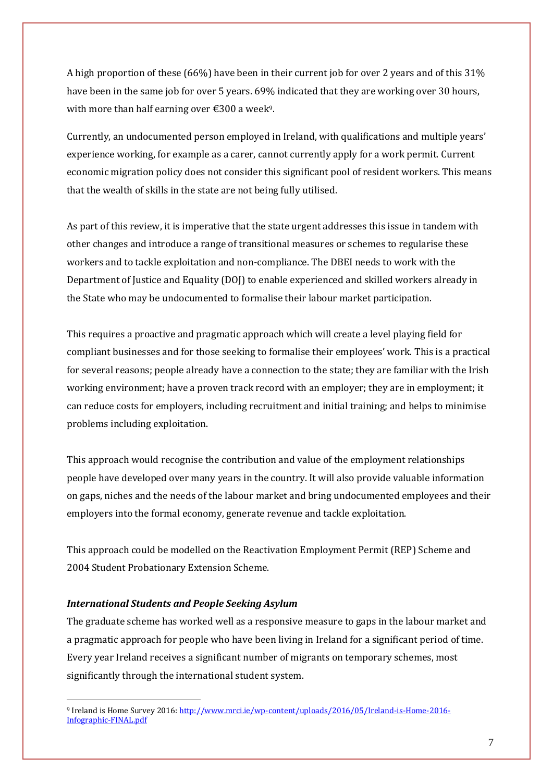A high proportion of these (66%) have been in their current job for over 2 years and of this 31% have been in the same job for over 5 years. 69% indicated that they are working over 30 hours, with more than half earning over  $\epsilon$ 300 a week<sup>9</sup>.

Currently, an undocumented person employed in Ireland, with qualifications and multiple years' experience working, for example as a carer, cannot currently apply for a work permit. Current economic migration policy does not consider this significant pool of resident workers. This means that the wealth of skills in the state are not being fully utilised.

As part of this review, it is imperative that the state urgent addresses this issue in tandem with other changes and introduce a range of transitional measures or schemes to regularise these workers and to tackle exploitation and non-compliance. The DBEI needs to work with the Department of Justice and Equality (DOJ) to enable experienced and skilled workers already in the State who may be undocumented to formalise their labour market participation.

This requires a proactive and pragmatic approach which will create a level playing field for compliant businesses and for those seeking to formalise their employees' work. This is a practical for several reasons; people already have a connection to the state; they are familiar with the Irish working environment; have a proven track record with an employer; they are in employment; it can reduce costs for employers, including recruitment and initial training; and helps to minimise problems including exploitation.

This approach would recognise the contribution and value of the employment relationships people have developed over many years in the country. It will also provide valuable information on gaps, niches and the needs of the labour market and bring undocumented employees and their employers into the formal economy, generate revenue and tackle exploitation.

This approach could be modelled on the Reactivation Employment Permit (REP) Scheme and 2004 Student Probationary Extension Scheme.

#### *International Students and People Seeking Asylum*

1

The graduate scheme has worked well as a responsive measure to gaps in the labour market and a pragmatic approach for people who have been living in Ireland for a significant period of time. Every year Ireland receives a significant number of migrants on temporary schemes, most significantly through the international student system.

<sup>9</sup> Ireland is Home Survey 2016[: http://www.mrci.ie/wp-content/uploads/2016/05/Ireland-is-Home-2016-](http://www.mrci.ie/wp-content/uploads/2016/05/Ireland-is-Home-2016-Infographic-FINAL.pdf) [Infographic-FINAL.pdf](http://www.mrci.ie/wp-content/uploads/2016/05/Ireland-is-Home-2016-Infographic-FINAL.pdf)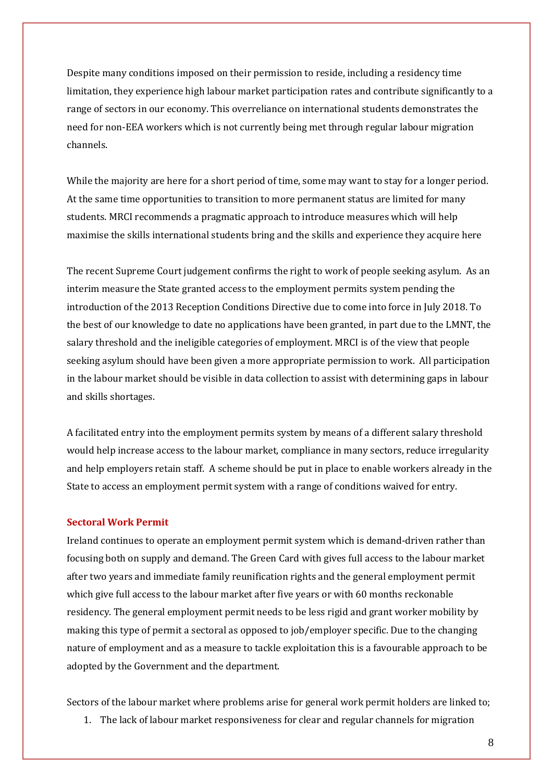Despite many conditions imposed on their permission to reside, including a residency time limitation, they experience high labour market participation rates and contribute significantly to a range of sectors in our economy. This overreliance on international students demonstrates the need for non-EEA workers which is not currently being met through regular labour migration channels.

While the majority are here for a short period of time, some may want to stay for a longer period. At the same time opportunities to transition to more permanent status are limited for many students. MRCI recommends a pragmatic approach to introduce measures which will help maximise the skills international students bring and the skills and experience they acquire here

The recent Supreme Court judgement confirms the right to work of people seeking asylum. As an interim measure the State granted access to the employment permits system pending the introduction of the 2013 Reception Conditions Directive due to come into force in July 2018. To the best of our knowledge to date no applications have been granted, in part due to the LMNT, the salary threshold and the ineligible categories of employment. MRCI is of the view that people seeking asylum should have been given a more appropriate permission to work. All participation in the labour market should be visible in data collection to assist with determining gaps in labour and skills shortages.

A facilitated entry into the employment permits system by means of a different salary threshold would help increase access to the labour market, compliance in many sectors, reduce irregularity and help employers retain staff. A scheme should be put in place to enable workers already in the State to access an employment permit system with a range of conditions waived for entry.

#### **Sectoral Work Permit**

Ireland continues to operate an employment permit system which is demand-driven rather than focusing both on supply and demand. The Green Card with gives full access to the labour market after two years and immediate family reunification rights and the general employment permit which give full access to the labour market after five years or with 60 months reckonable residency. The general employment permit needs to be less rigid and grant worker mobility by making this type of permit a sectoral as opposed to job/employer specific. Due to the changing nature of employment and as a measure to tackle exploitation this is a favourable approach to be adopted by the Government and the department.

Sectors of the labour market where problems arise for general work permit holders are linked to;

1. The lack of labour market responsiveness for clear and regular channels for migration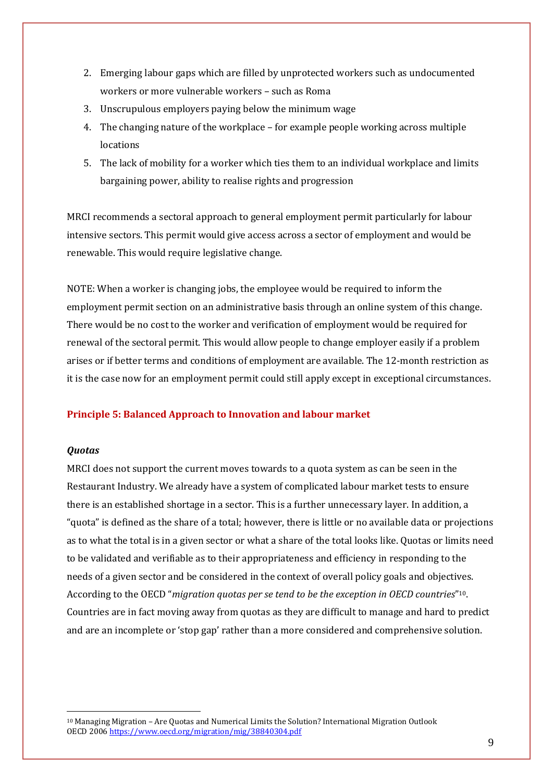- 2. Emerging labour gaps which are filled by unprotected workers such as undocumented workers or more vulnerable workers – such as Roma
- 3. Unscrupulous employers paying below the minimum wage
- 4. The changing nature of the workplace for example people working across multiple locations
- 5. The lack of mobility for a worker which ties them to an individual workplace and limits bargaining power, ability to realise rights and progression

MRCI recommends a sectoral approach to general employment permit particularly for labour intensive sectors. This permit would give access across a sector of employment and would be renewable. This would require legislative change.

NOTE: When a worker is changing jobs, the employee would be required to inform the employment permit section on an administrative basis through an online system of this change. There would be no cost to the worker and verification of employment would be required for renewal of the sectoral permit. This would allow people to change employer easily if a problem arises or if better terms and conditions of employment are available. The 12-month restriction as it is the case now for an employment permit could still apply except in exceptional circumstances.

# **Principle 5: Balanced Approach to Innovation and labour market**

#### *Quotas*

1

MRCI does not support the current moves towards to a quota system as can be seen in the Restaurant Industry. We already have a system of complicated labour market tests to ensure there is an established shortage in a sector. This is a further unnecessary layer. In addition, a "quota" is defined as the share of a total; however, there is little or no available data or projections as to what the total is in a given sector or what a share of the total looks like. Quotas or limits need to be validated and verifiable as to their appropriateness and efficiency in responding to the needs of a given sector and be considered in the context of overall policy goals and objectives. According to the OECD "*migration quotas per se tend to be the exception in OECD countries*" <sup>10</sup>. Countries are in fact moving away from quotas as they are difficult to manage and hard to predict and are an incomplete or 'stop gap' rather than a more considered and comprehensive solution.

<sup>10</sup> Managing Migration – Are Quotas and Numerical Limits the Solution? International Migration Outlook OECD 200[6 https://www.oecd.org/migration/mig/38840304.pdf](https://www.oecd.org/migration/mig/38840304.pdf)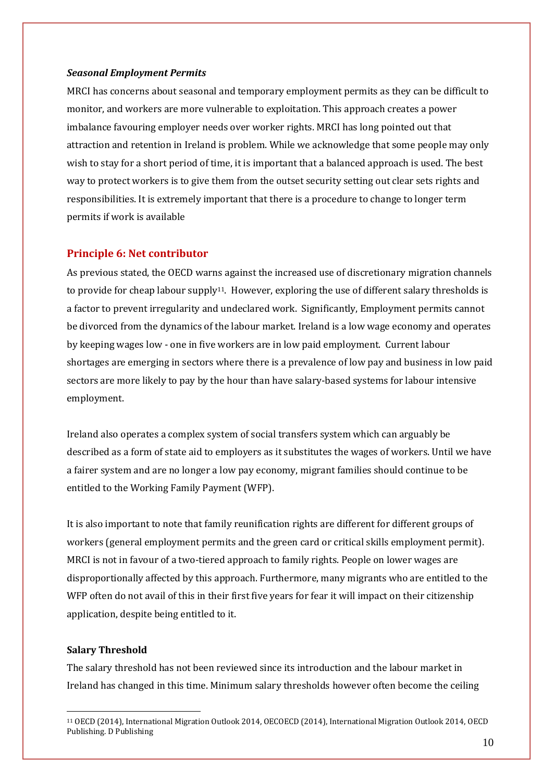#### *Seasonal Employment Permits*

MRCI has concerns about seasonal and temporary employment permits as they can be difficult to monitor, and workers are more vulnerable to exploitation. This approach creates a power imbalance favouring employer needs over worker rights. MRCI has long pointed out that attraction and retention in Ireland is problem. While we acknowledge that some people may only wish to stay for a short period of time, it is important that a balanced approach is used. The best way to protect workers is to give them from the outset security setting out clear sets rights and responsibilities. It is extremely important that there is a procedure to change to longer term permits if work is available

#### **Principle 6: Net contributor**

As previous stated, the OECD warns against the increased use of discretionary migration channels to provide for cheap labour supply<sup>11</sup>. However, exploring the use of different salary thresholds is a factor to prevent irregularity and undeclared work. Significantly, Employment permits cannot be divorced from the dynamics of the labour market. Ireland is a low wage economy and operates by keeping wages low - one in five workers are in low paid employment. Current labour shortages are emerging in sectors where there is a prevalence of low pay and business in low paid sectors are more likely to pay by the hour than have salary-based systems for labour intensive employment.

Ireland also operates a complex system of social transfers system which can arguably be described as a form of state aid to employers as it substitutes the wages of workers. Until we have a fairer system and are no longer a low pay economy, migrant families should continue to be entitled to the Working Family Payment (WFP).

It is also important to note that family reunification rights are different for different groups of workers (general employment permits and the green card or critical skills employment permit). MRCI is not in favour of a two-tiered approach to family rights. People on lower wages are disproportionally affected by this approach. Furthermore, many migrants who are entitled to the WFP often do not avail of this in their first five years for fear it will impact on their citizenship application, despite being entitled to it.

#### **Salary Threshold**

1

The salary threshold has not been reviewed since its introduction and the labour market in Ireland has changed in this time. Minimum salary thresholds however often become the ceiling

<sup>11</sup> OECD (2014), International Migration Outlook 2014, OECOECD (2014), International Migration Outlook 2014, OECD Publishing. D Publishing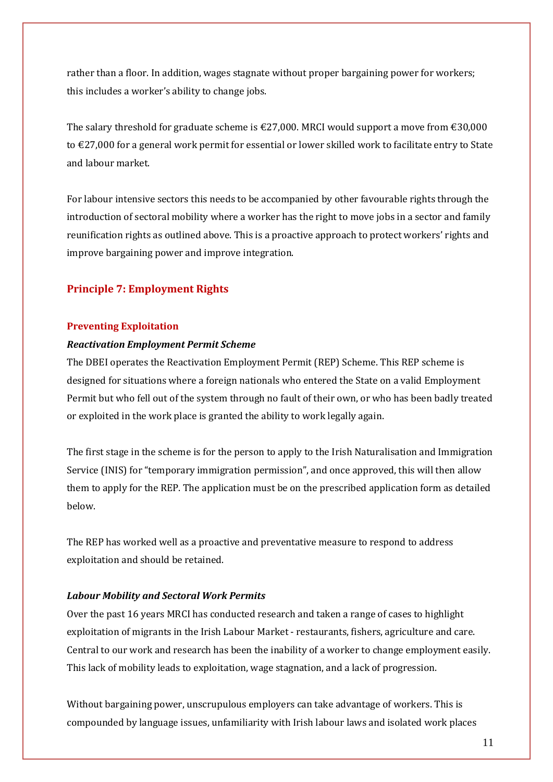rather than a floor. In addition, wages stagnate without proper bargaining power for workers; this includes a worker's ability to change jobs.

The salary threshold for graduate scheme is  $\epsilon$ 27,000. MRCI would support a move from  $\epsilon$ 30,000 to €27,000 for a general work permit for essential or lower skilled work to facilitate entry to State and labour market.

For labour intensive sectors this needs to be accompanied by other favourable rights through the introduction of sectoral mobility where a worker has the right to move jobs in a sector and family reunification rights as outlined above. This is a proactive approach to protect workers' rights and improve bargaining power and improve integration.

# **Principle 7: Employment Rights**

# **Preventing Exploitation**

#### *Reactivation Employment Permit Scheme*

The DBEI operates the Reactivation Employment Permit (REP) Scheme. This REP scheme is designed for situations where a foreign nationals who entered the State on a valid Employment Permit but who fell out of the system through no fault of their own, or who has been badly treated or exploited in the work place is granted the ability to work legally again.

The first stage in the scheme is for the person to apply to the Irish Naturalisation and Immigration Service (INIS) for "temporary immigration permission", and once approved, this will then allow them to apply for the REP. The application must be on the prescribed application form as detailed below.

The REP has worked well as a proactive and preventative measure to respond to address exploitation and should be retained.

# *Labour Mobility and Sectoral Work Permits*

Over the past 16 years MRCI has conducted research and taken a range of cases to highlight exploitation of migrants in the Irish Labour Market - restaurants, fishers, agriculture and care. Central to our work and research has been the inability of a worker to change employment easily. This lack of mobility leads to exploitation, wage stagnation, and a lack of progression.

Without bargaining power, unscrupulous employers can take advantage of workers. This is compounded by language issues, unfamiliarity with Irish labour laws and isolated work places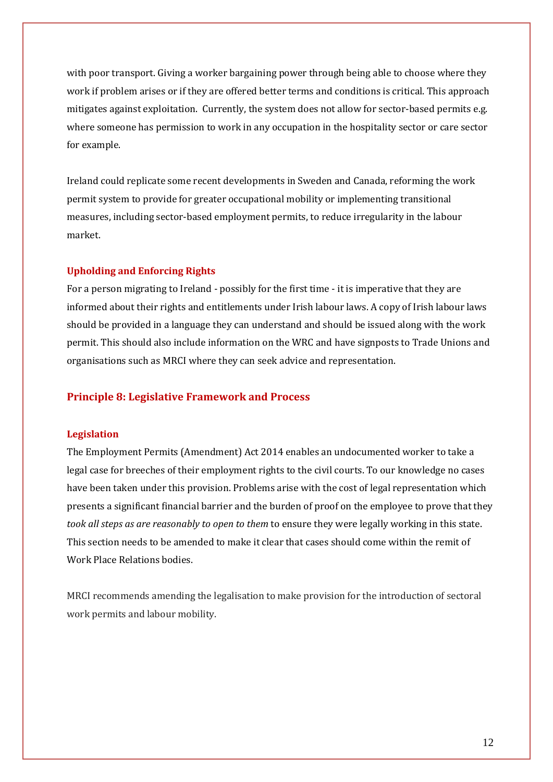with poor transport. Giving a worker bargaining power through being able to choose where they work if problem arises or if they are offered better terms and conditions is critical. This approach mitigates against exploitation. Currently, the system does not allow for sector-based permits e.g. where someone has permission to work in any occupation in the hospitality sector or care sector for example.

Ireland could replicate some recent developments in Sweden and Canada, reforming the work permit system to provide for greater occupational mobility or implementing transitional measures, including sector-based employment permits, to reduce irregularity in the labour market.

#### **Upholding and Enforcing Rights**

For a person migrating to Ireland - possibly for the first time - it is imperative that they are informed about their rights and entitlements under Irish labour laws. A copy of Irish labour laws should be provided in a language they can understand and should be issued along with the work permit. This should also include information on the WRC and have signposts to Trade Unions and organisations such as MRCI where they can seek advice and representation.

# **Principle 8: Legislative Framework and Process**

#### **Legislation**

The Employment Permits (Amendment) Act 2014 enables an undocumented worker to take a legal case for breeches of their employment rights to the civil courts. To our knowledge no cases have been taken under this provision. Problems arise with the cost of legal representation which presents a significant financial barrier and the burden of proof on the employee to prove that they *took all steps as are reasonably to open to them* to ensure they were legally working in this state. This section needs to be amended to make it clear that cases should come within the remit of Work Place Relations bodies.

MRCI recommends amending the legalisation to make provision for the introduction of sectoral work permits and labour mobility.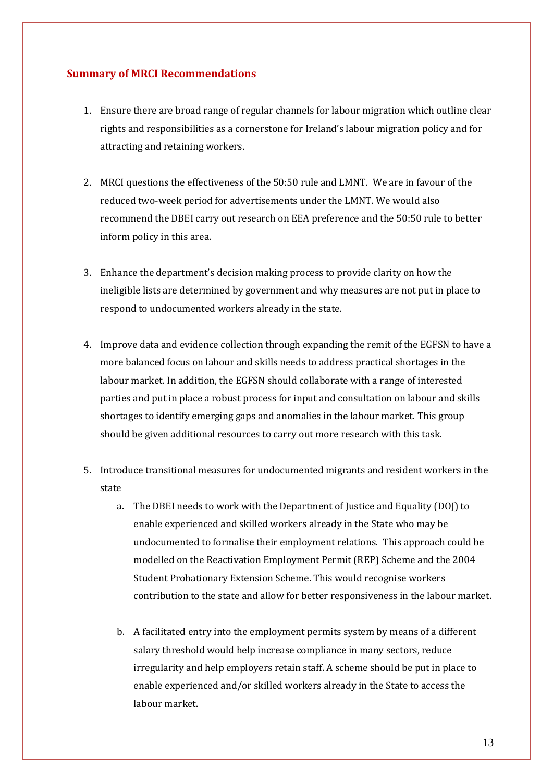# **Summary of MRCI Recommendations**

- 1. Ensure there are broad range of regular channels for labour migration which outline clear rights and responsibilities as a cornerstone for Ireland's labour migration policy and for attracting and retaining workers.
- 2. MRCI questions the effectiveness of the 50:50 rule and LMNT. We are in favour of the reduced two-week period for advertisements under the LMNT. We would also recommend the DBEI carry out research on EEA preference and the 50:50 rule to better inform policy in this area.
- 3. Enhance the department's decision making process to provide clarity on how the ineligible lists are determined by government and why measures are not put in place to respond to undocumented workers already in the state.
- 4. Improve data and evidence collection through expanding the remit of the EGFSN to have a more balanced focus on labour and skills needs to address practical shortages in the labour market. In addition, the EGFSN should collaborate with a range of interested parties and put in place a robust process for input and consultation on labour and skills shortages to identify emerging gaps and anomalies in the labour market. This group should be given additional resources to carry out more research with this task.
- 5. Introduce transitional measures for undocumented migrants and resident workers in the state
	- a. The DBEI needs to work with the Department of Justice and Equality (DOJ) to enable experienced and skilled workers already in the State who may be undocumented to formalise their employment relations. This approach could be modelled on the Reactivation Employment Permit (REP) Scheme and the 2004 Student Probationary Extension Scheme. This would recognise workers contribution to the state and allow for better responsiveness in the labour market.
	- b. A facilitated entry into the employment permits system by means of a different salary threshold would help increase compliance in many sectors, reduce irregularity and help employers retain staff. A scheme should be put in place to enable experienced and/or skilled workers already in the State to access the labour market.